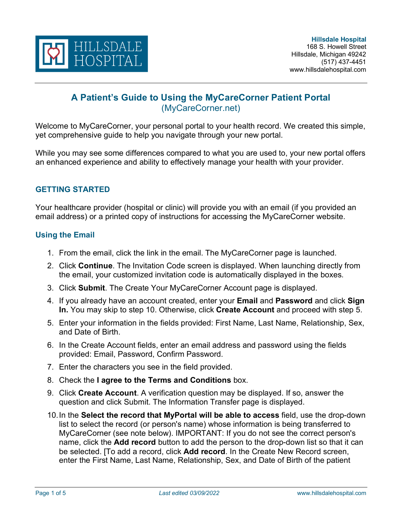

# **A Patient's Guide to Using the MyCareCorner Patient Portal** (MyCareCorner.net)

Welcome to MyCareCorner, your personal portal to your health record. We created this simple, yet comprehensive guide to help you navigate through your new portal.

While you may see some differences compared to what you are used to, your new portal offers an enhanced experience and ability to effectively manage your health with your provider.

### **GETTING STARTED**

Your healthcare provider (hospital or clinic) will provide you with an email (if you provided an email address) or a printed copy of instructions for accessing the MyCareCorner website.

### **Using the Email**

- 1. From the email, click the link in the email. The MyCareCorner page is launched.
- 2. Click **Continue**. The Invitation Code screen is displayed. When launching directly from the email, your customized invitation code is automatically displayed in the boxes.
- 3. Click **Submit**. The Create Your MyCareCorner Account page is displayed.
- 4. If you already have an account created, enter your **Email** and **Password** and click **Sign In.** You may skip to step 10. Otherwise, click **Create Account** and proceed with step 5.
- 5. Enter your information in the fields provided: First Name, Last Name, Relationship, Sex, and Date of Birth.
- 6. In the Create Account fields, enter an email address and password using the fields provided: Email, Password, Confirm Password.
- 7. Enter the characters you see in the field provided.
- 8. Check the **I agree to the Terms and Conditions** box.
- 9. Click **Create Account**. A verification question may be displayed. If so, answer the question and click Submit. The Information Transfer page is displayed.
- 10.In the **Select the record that MyPortal will be able to access** field, use the drop-down list to select the record (or person's name) whose information is being transferred to MyCareCorner (see note below). IMPORTANT: If you do not see the correct person's name, click the **Add record** button to add the person to the drop-down list so that it can be selected. [To add a record, click **Add record**. In the Create New Record screen, enter the First Name, Last Name, Relationship, Sex, and Date of Birth of the patient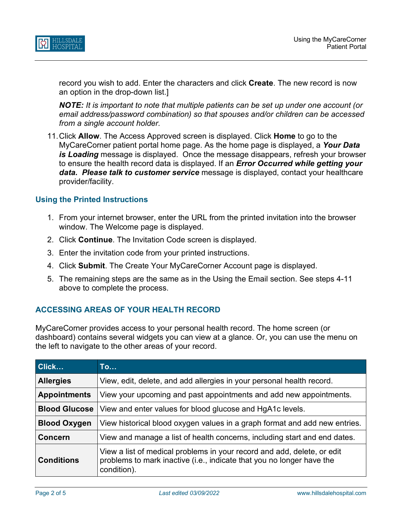

record you wish to add. Enter the characters and click **Create**. The new record is now an option in the drop-down list.]

*NOTE: It is important to note that multiple patients can be set up under one account (or email address/password combination) so that spouses and/or children can be accessed from a single account holder.* 

11.Click **Allow**. The Access Approved screen is displayed. Click **Home** to go to the MyCareCorner patient portal home page. As the home page is displayed, a *Your Data is Loading* message is displayed. Once the message disappears, refresh your browser to ensure the health record data is displayed. If an *Error Occurred while getting your data. Please talk to customer service* message is displayed, contact your healthcare provider/facility.

### **Using the Printed Instructions**

- 1. From your internet browser, enter the URL from the printed invitation into the browser window. The Welcome page is displayed.
- 2. Click **Continue**. The Invitation Code screen is displayed.
- 3. Enter the invitation code from your printed instructions.
- 4. Click **Submit**. The Create Your MyCareCorner Account page is displayed.
- 5. The remaining steps are the same as in the Using the Email section. See steps 4-11 above to complete the process.

### **ACCESSING AREAS OF YOUR HEALTH RECORD**

MyCareCorner provides access to your personal health record. The home screen (or dashboard) contains several widgets you can view at a glance. Or, you can use the menu on the left to navigate to the other areas of your record.

| Click                | <b>To</b>                                                                                                                                                       |
|----------------------|-----------------------------------------------------------------------------------------------------------------------------------------------------------------|
| <b>Allergies</b>     | View, edit, delete, and add allergies in your personal health record.                                                                                           |
| <b>Appointments</b>  | View your upcoming and past appointments and add new appointments.                                                                                              |
| <b>Blood Glucose</b> | View and enter values for blood glucose and HgA1c levels.                                                                                                       |
| <b>Blood Oxygen</b>  | View historical blood oxygen values in a graph format and add new entries.                                                                                      |
| <b>Concern</b>       | View and manage a list of health concerns, including start and end dates.                                                                                       |
| <b>Conditions</b>    | View a list of medical problems in your record and add, delete, or edit<br>problems to mark inactive (i.e., indicate that you no longer have the<br>condition). |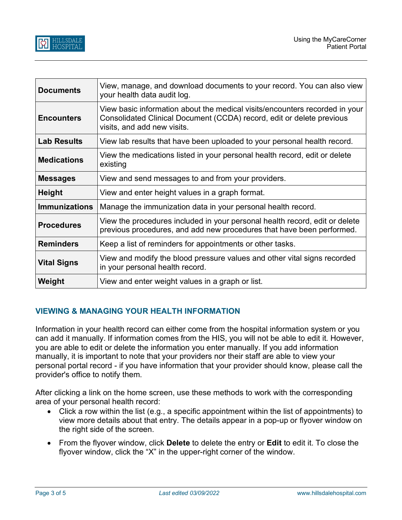| <b>Documents</b>     | View, manage, and download documents to your record. You can also view<br>your health data audit log.                                                                               |
|----------------------|-------------------------------------------------------------------------------------------------------------------------------------------------------------------------------------|
| <b>Encounters</b>    | View basic information about the medical visits/encounters recorded in your<br>Consolidated Clinical Document (CCDA) record, edit or delete previous<br>visits, and add new visits. |
| <b>Lab Results</b>   | View lab results that have been uploaded to your personal health record.                                                                                                            |
| <b>Medications</b>   | View the medications listed in your personal health record, edit or delete<br>existing                                                                                              |
| <b>Messages</b>      | View and send messages to and from your providers.                                                                                                                                  |
| <b>Height</b>        | View and enter height values in a graph format.                                                                                                                                     |
| <b>Immunizations</b> | Manage the immunization data in your personal health record.                                                                                                                        |
| <b>Procedures</b>    | View the procedures included in your personal health record, edit or delete<br>previous procedures, and add new procedures that have been performed.                                |
| <b>Reminders</b>     | Keep a list of reminders for appointments or other tasks.                                                                                                                           |
| <b>Vital Signs</b>   | View and modify the blood pressure values and other vital signs recorded<br>in your personal health record.                                                                         |
| Weight               | View and enter weight values in a graph or list.                                                                                                                                    |

### **VIEWING & MANAGING YOUR HEALTH INFORMATION**

Information in your health record can either come from the hospital information system or you can add it manually. If information comes from the HIS, you will not be able to edit it. However, you are able to edit or delete the information you enter manually. If you add information manually, it is important to note that your providers nor their staff are able to view your personal portal record - if you have information that your provider should know, please call the provider's office to notify them.

After clicking a link on the home screen, use these methods to work with the corresponding area of your personal health record:

- Click a row within the list (e.g., a specific appointment within the list of appointments) to view more details about that entry. The details appear in a pop-up or flyover window on the right side of the screen.
- From the flyover window, click **Delete** to delete the entry or **Edit** to edit it. To close the flyover window, click the "X" in the upper-right corner of the window.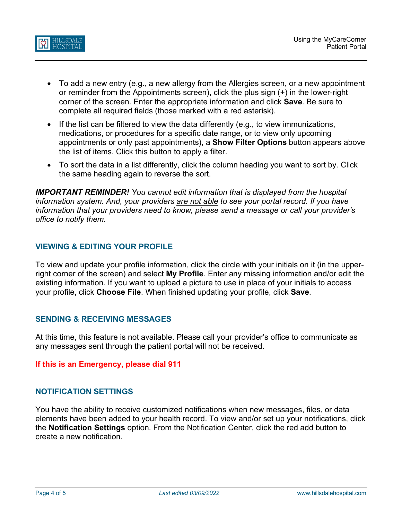

- To add a new entry (e.g., a new allergy from the Allergies screen, or a new appointment or reminder from the Appointments screen), click the plus sign (+) in the lower-right corner of the screen. Enter the appropriate information and click **Save**. Be sure to complete all required fields (those marked with a red asterisk).
- If the list can be filtered to view the data differently (e.g., to view immunizations, medications, or procedures for a specific date range, or to view only upcoming appointments or only past appointments), a **Show Filter Options** button appears above the list of items. Click this button to apply a filter.
- To sort the data in a list differently, click the column heading you want to sort by. Click the same heading again to reverse the sort.

*IMPORTANT REMINDER! You cannot edit information that is displayed from the hospital information system. And, your providers are not able to see your portal record. If you have information that your providers need to know, please send a message or call your provider's office to notify them.* 

### **VIEWING & EDITING YOUR PROFILE**

To view and update your profile information, click the circle with your initials on it (in the upperright corner of the screen) and select **My Profile**. Enter any missing information and/or edit the existing information. If you want to upload a picture to use in place of your initials to access your profile, click **Choose File**. When finished updating your profile, click **Save**.

### **SENDING & RECEIVING MESSAGES**

At this time, this feature is not available. Please call your provider's office to communicate as any messages sent through the patient portal will not be received.

### **If this is an Emergency, please dial 911**

### **NOTIFICATION SETTINGS**

You have the ability to receive customized notifications when new messages, files, or data elements have been added to your health record. To view and/or set up your notifications, click the **Notification Settings** option. From the Notification Center, click the red add button to create a new notification.